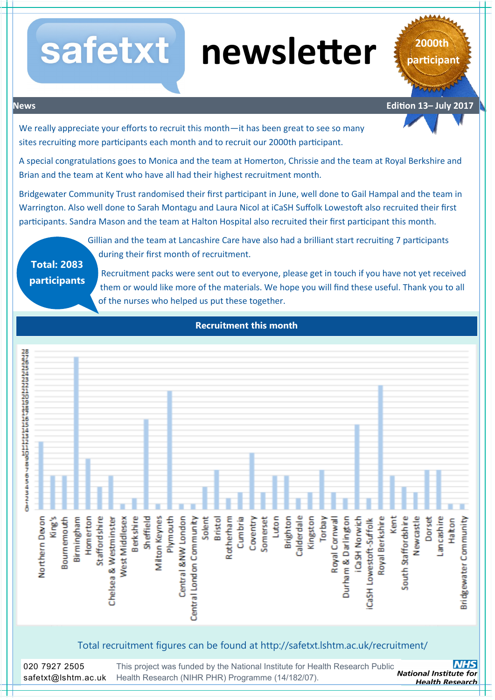# **newsletter**

**2000th participant**

**News Edition 13– July 2017**

We really appreciate your efforts to recruit this month—it has been great to see so many sites recruiting more participants each month and to recruit our 2000th participant.

safetxt

A special congratulations goes to Monica and the team at Homerton, Chrissie and the team at Royal Berkshire and Brian and the team at Kent who have all had their highest recruitment month.

Bridgewater Community Trust randomised their first participant in June, well done to Gail Hampal and the team in Warrington. Also well done to Sarah Montagu and Laura Nicol at iCaSH Suffolk Lowestoft also recruited their first participants. Sandra Mason and the team at Halton Hospital also recruited their first participant this month.

**Total: 2083 participants**

Gillian and the team at Lancashire Care have also had a brilliant start recruiting 7 participants during their first month of recruitment.

Recruitment packs were sent out to everyone, please get in touch if you have not yet received them or would like more of the materials. We hope you will find these useful. Thank you to all of the nurses who helped us put these together.



Total recruitment figures can be found at http://safetxt.lshtm.ac.uk/recruitment/

This project was funded by the National Institute for Health Research Public<br>National Institute for [Health Research \(NIHR PHR\) Programme \(14/182/07\).](http://www.hta.ac.uk/) 020 7927 2505 safetxt@lshtm.ac.uk